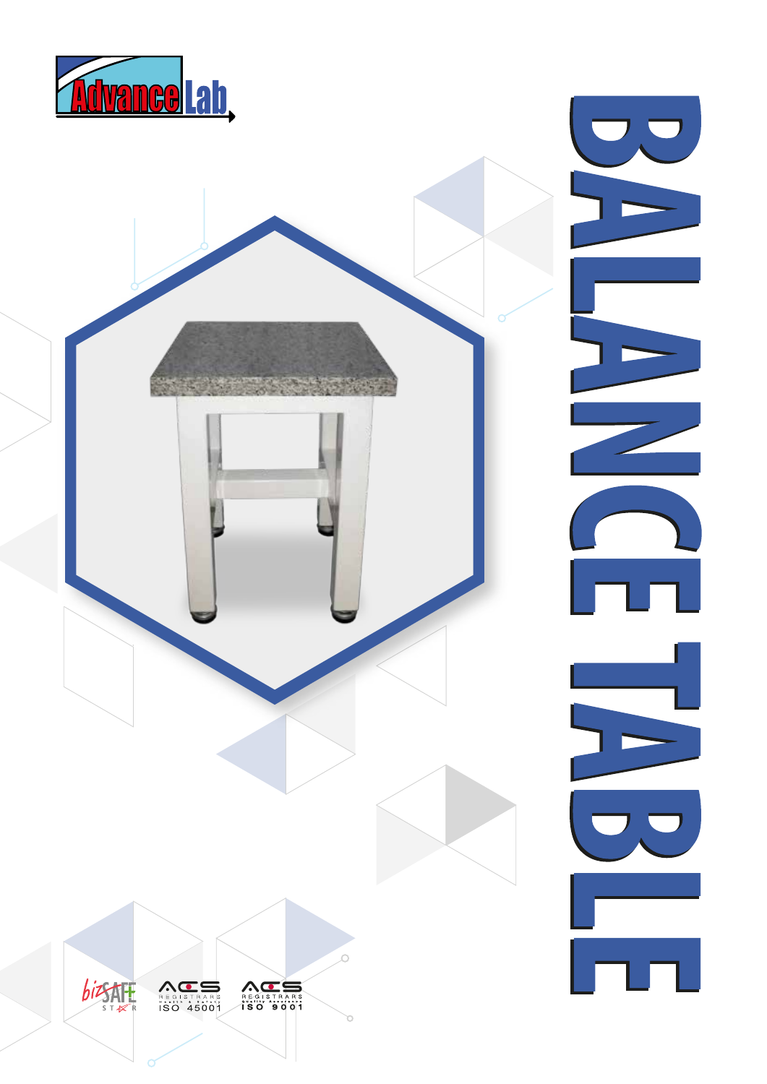



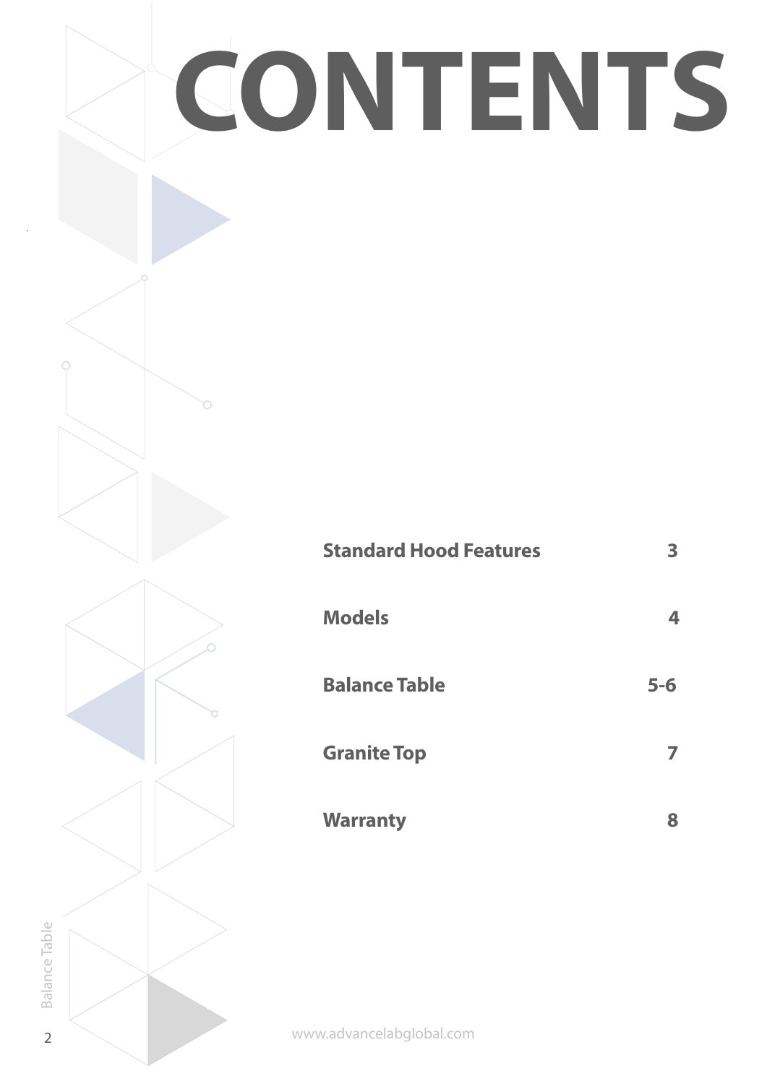

Balance Table 2Balance Table  $\overline{2}$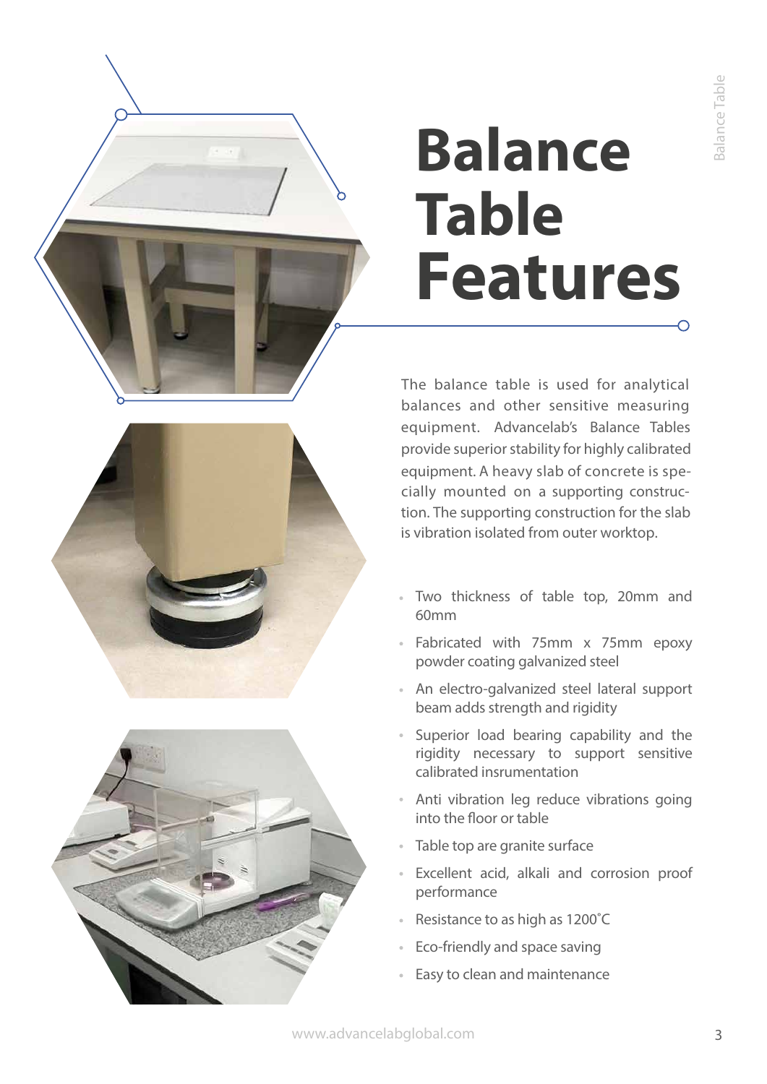# **Balance Table Features**





The balance table is used for analytical balances and other sensitive measuring equipment. Advancelab's Balance Tables provide superior stability for highly calibrated equipment. <sup>A</sup> heavy slab of concrete is specially mounted on <sup>a</sup> supporting construction. The supporting construction for the slab is vibration isolated from outer worktop.

- Two thickness of table top, 20mm and 60mm
- Fabricated with 75mm x 75mm epoxy powder coating galvanized steel
- An electro-galvanized steel lateral support beam adds strength and rigidity
- Superior load bearing capability and the rigidity necessary to support sensitive calibrated insrumentation
- Anti vibration leg reduce vibrations going into the floor or table
- Table top are granite surface
- Excellent acid, alkali and corrosion proof performance
- Resistance to as high as 1200˚C
- Eco-friendly and space saving
- Easy to clean and maintenance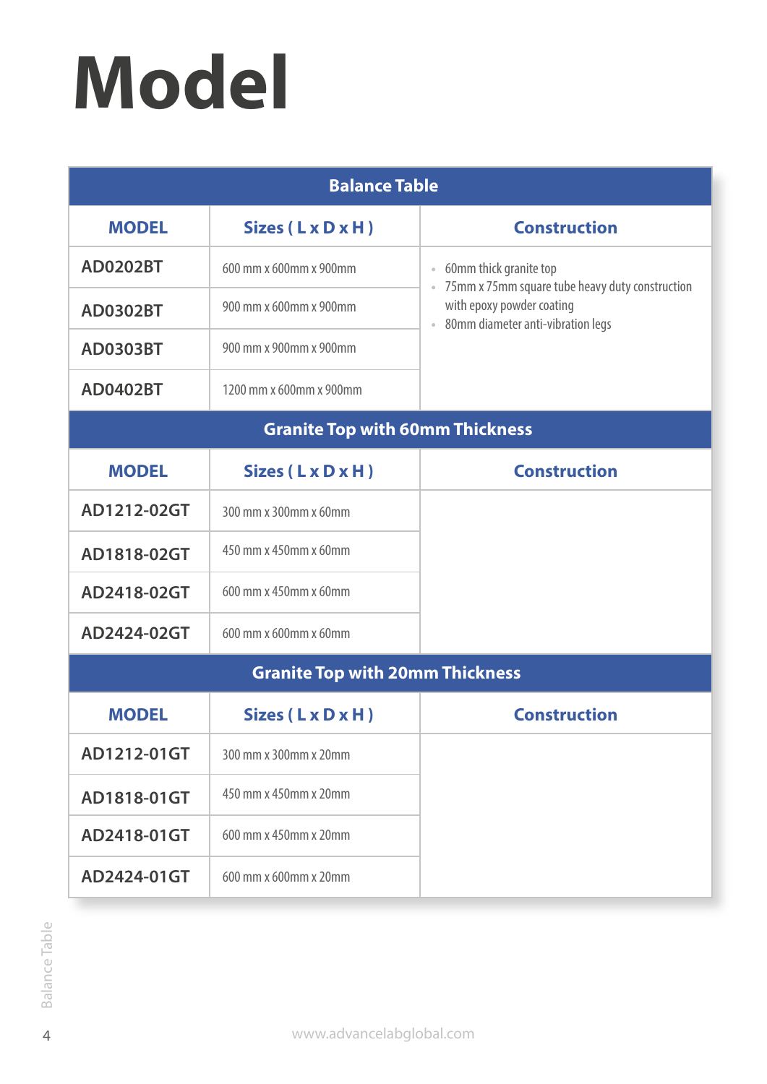# **Model**

| <b>Balance Table</b>                   |                         |                                                                                                                                                                     |
|----------------------------------------|-------------------------|---------------------------------------------------------------------------------------------------------------------------------------------------------------------|
| <b>MODEL</b>                           | Sizes (LxDxH)           | <b>Construction</b>                                                                                                                                                 |
| <b>AD0202BT</b>                        | 600 mm x 600mm x 900mm  | 60mm thick granite top<br>$\Phi$ .<br>75mm x 75mm square tube heavy duty construction<br>with epoxy powder coating<br>80mm diameter anti-vibration legs<br>$\alpha$ |
| <b>AD0302BT</b>                        | 900 mm x 600mm x 900mm  |                                                                                                                                                                     |
| <b>AD0303BT</b>                        | 900 mm x 900mm x 900mm  |                                                                                                                                                                     |
| <b>AD0402BT</b>                        | 1200 mm x 600mm x 900mm |                                                                                                                                                                     |
| <b>Granite Top with 60mm Thickness</b> |                         |                                                                                                                                                                     |
| <b>MODEL</b>                           | Sizes (LxDxH)           | <b>Construction</b>                                                                                                                                                 |
| AD1212-02GT                            | 300 mm x 300mm x 60mm   |                                                                                                                                                                     |
| AD1818-02GT                            | 450 mm x 450mm x 60mm   |                                                                                                                                                                     |
| AD2418-02GT                            | 600 mm x 450mm x 60mm   |                                                                                                                                                                     |
| AD2424-02GT                            | 600 mm x 600mm x 60mm   |                                                                                                                                                                     |
| <b>Granite Top with 20mm Thickness</b> |                         |                                                                                                                                                                     |
| <b>MODEL</b>                           | Sizes (LxDxH)           | <b>Construction</b>                                                                                                                                                 |
| AD1212-01GT                            | 300 mm x 300mm x 20mm   |                                                                                                                                                                     |
| AD1818-01GT                            | 450 mm x 450mm x 20mm   |                                                                                                                                                                     |
| AD2418-01GT                            | 600 mm x 450mm x 20mm   |                                                                                                                                                                     |
| AD2424-01GT                            | 600 mm x 600mm x 20mm   |                                                                                                                                                                     |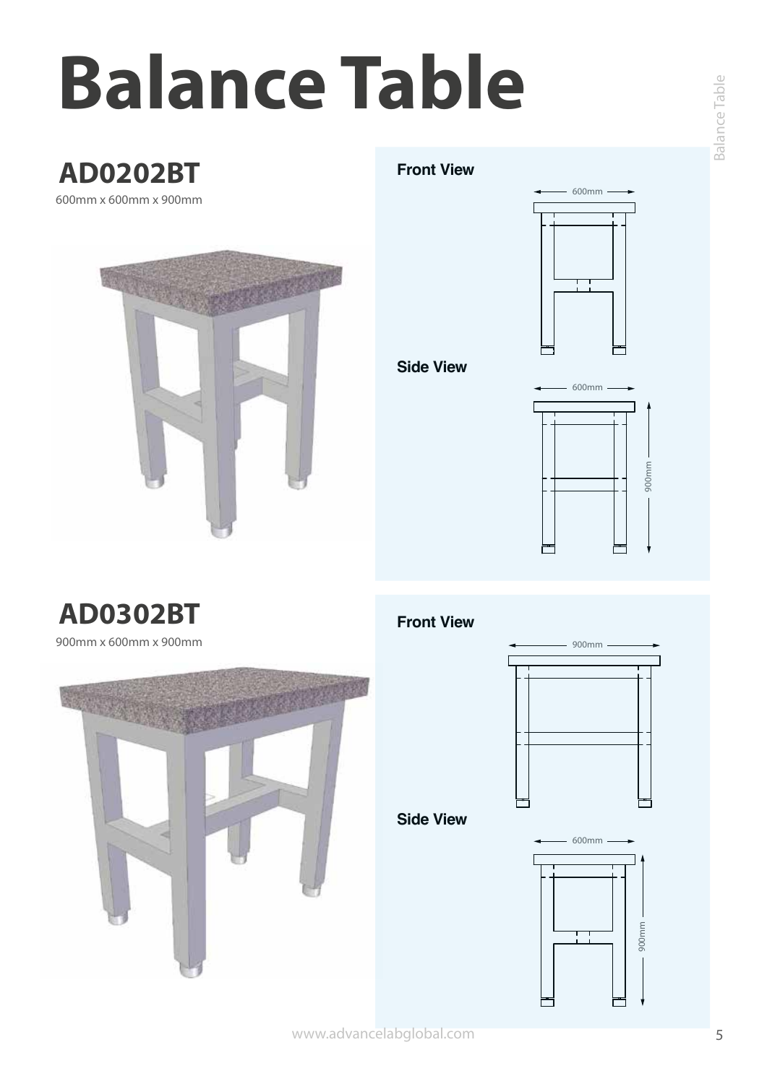# **Balance Table**

# **AD0202BT**

600mm x 600mm x 900mm



#### **Front View**



**Side View**



# **AD0302BT Front View**

900mm x 600mm x 900mm





**Side View**

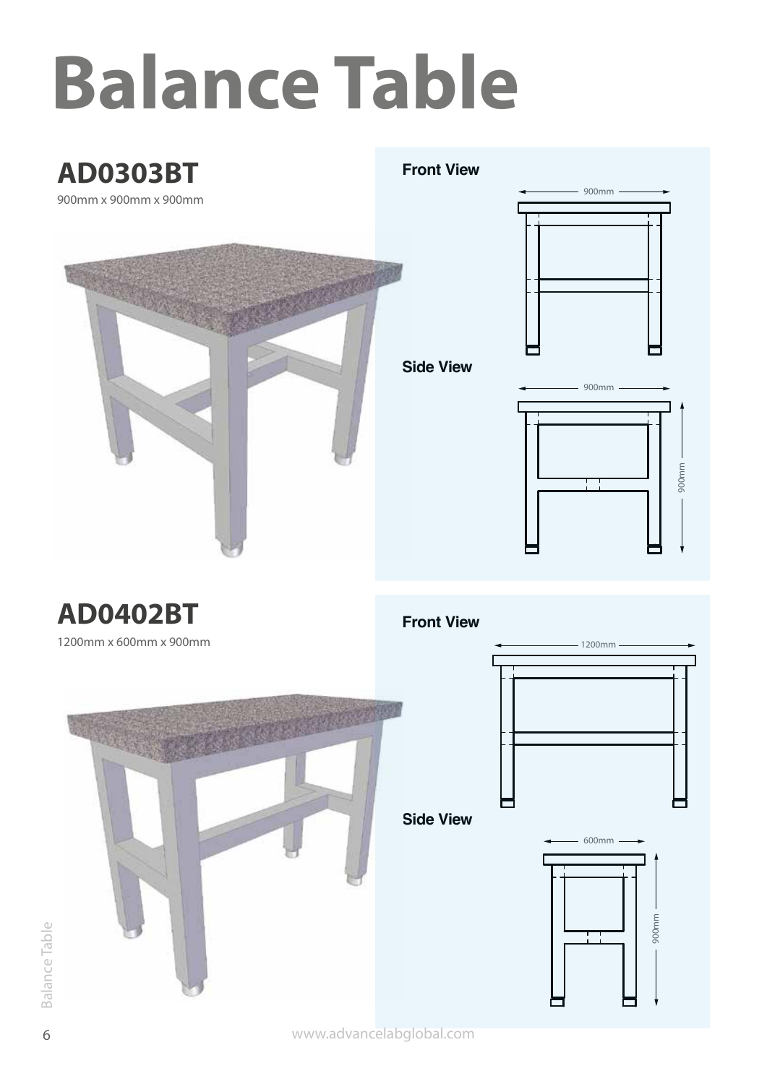# **Balance Table**

# **AD0303BT**

**Front View**



# 900mm

900mm 900mm

# **AD0402BT**

1200mm x 600mm x 900mm



## **Front View**



**Side View**



www.advancelabglobal.com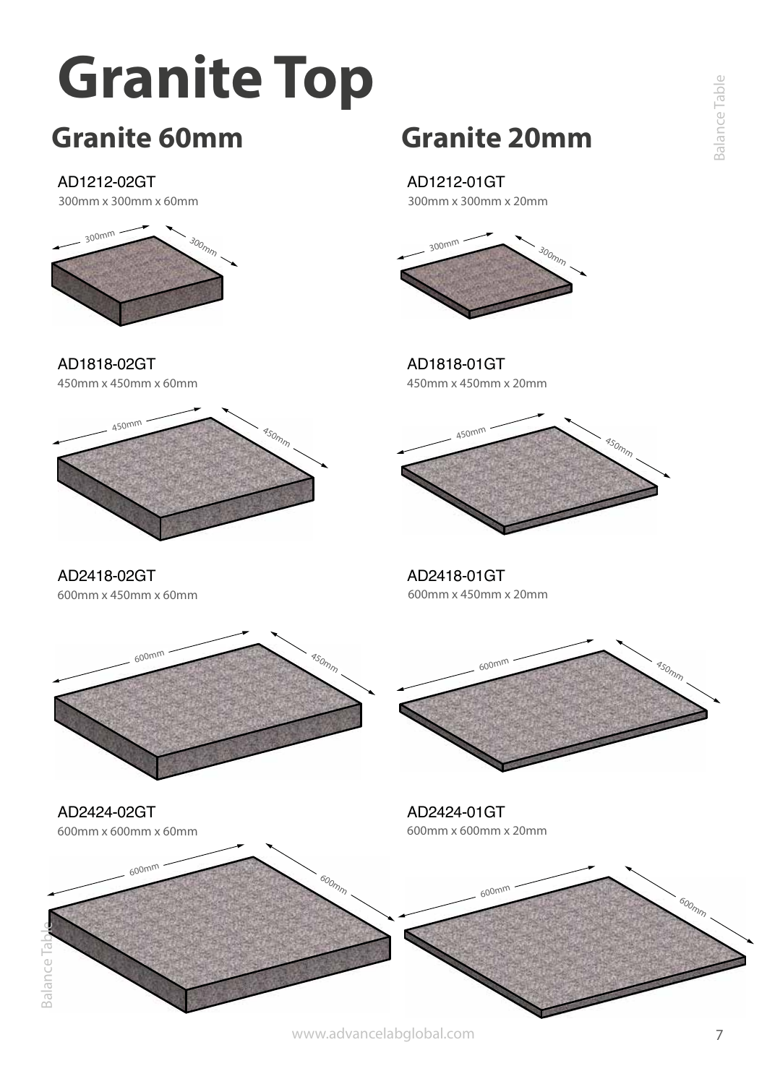# **Granite Top**

# **Granite 60mm**

## AD1212-02GT

300mm x 300mm x 60mm



450mm x 450mm x 60mm AD1818-02GT

600mm x 450mm x 60mm

AD2418-02GT

AD2424-02GT



**Granite 20mm**

### AD1212-01GT

300mm x 300mm x 20mm



450mm x 450mm x 20mm AD1818-01GT



600mm x 450mm x 20mm AD2418-01GT

600m<sup>m</sup> 450mm



600mm x 600mm x 20mm AD2424-01GT



www.advancelabglobal.com

 $\overline{7}$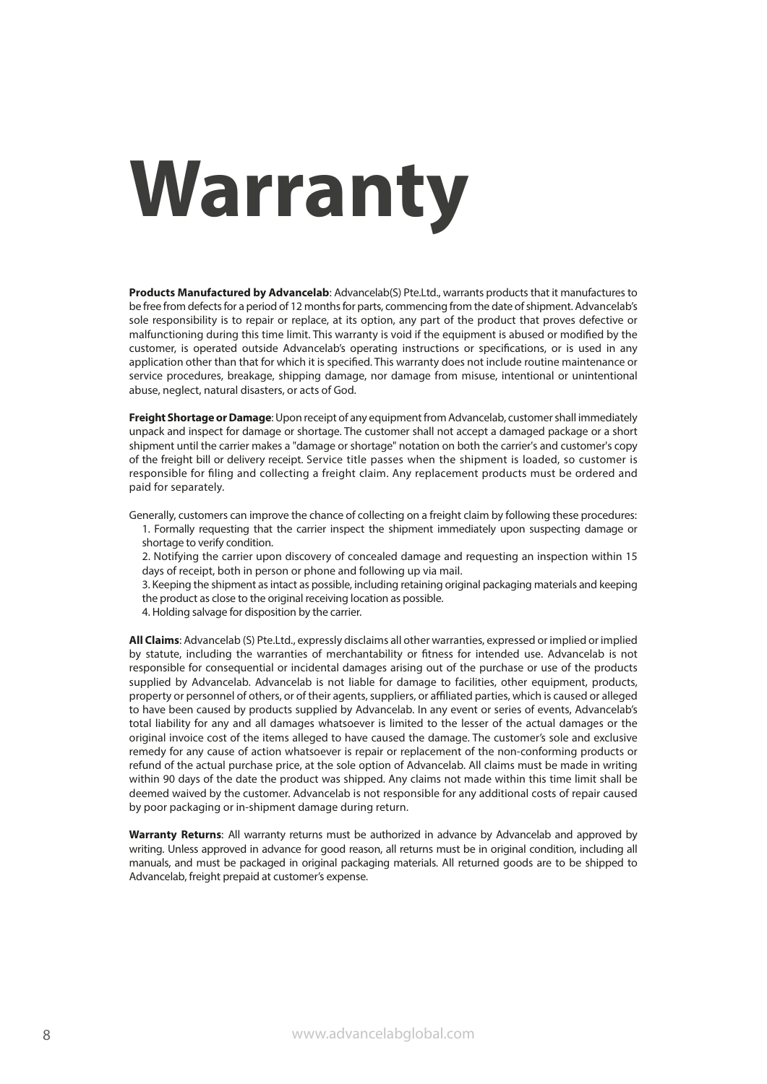# **Warranty**

**Products Manufactured by Advancelab**: Advancelab(S) Pte.Ltd., warrants products that it manufactures to be free from defects for a period of 12 months for parts, commencing from the date of shipment. Advancelab's sole responsibility is to repair or replace, at its option, any part of the product that proves defective or malfunctioning during this time limit. This warranty is void if the equipment is abused or modified by the customer, is operated outside Advancelab's operating instructions or specifications, or is used in any application other than that for which it is specified. This warranty does not include routine maintenance or service procedures, breakage, shipping damage, nor damage from misuse, intentional or unintentional abuse, neglect, natural disasters, or acts of God.

**Freight Shortage or Damage**: Upon receipt of any equipment from Advancelab, customer shall immediately unpack and inspect for damage or shortage. The customer shall not accept a damaged package or a short shipment until the carrier makes a "damage or shortage" notation on both the carrier's and customer's copy of the freight bill or delivery receipt. Service title passes when the shipment is loaded, so customer is responsible for filing and collecting a freight claim. Any replacement products must be ordered and paid for separately.

Generally, customers can improve the chance of collecting on a freight claim by following these procedures:

- 1. Formally requesting that the carrier inspect the shipment immediately upon suspecting damage or
- shortage to verify condition.
- 2. Notifying the carrier upon discovery of concealed damage and requesting an inspection within 15 days of receipt, both in person or phone and following up via mail.
- 3. Keeping the shipment as intact as possible, including retaining original packaging materials and keeping the product as close to the original receiving location as possible.
- 4. Holding salvage for disposition by the carrier.

**All Claims**: Advancelab (S) Pte.Ltd., expressly disclaims all other warranties, expressed or implied or implied by statute, including the warranties of merchantability or fitness for intended use. Advancelab is not responsible for consequential or incidental damages arising out of the purchase or use of the products supplied by Advancelab. Advancelab is not liable for damage to facilities, other equipment, products, property or personnel of others, or of their agents, suppliers, or affiliated parties, which is caused or alleged to have been caused by products supplied by Advancelab. In any event or series of events, Advancelab's total liability for any and all damages whatsoever is limited to the lesser of the actual damages or the original invoice cost of the items alleged to have caused the damage. The customer's sole and exclusive remedy for any cause of action whatsoever is repair or replacement of the non-conforming products or refund of the actual purchase price, at the sole option of Advancelab. All claims must be made in writing within 90 days of the date the product was shipped. Any claims not made within this time limit shall be deemed waived by the customer. Advancelab is not responsible for any additional costs of repair caused by poor packaging or in-shipment damage during return.

**Warranty Returns**: All warranty returns must be authorized in advance by Advancelab and approved by writing. Unless approved in advance for good reason, all returns must be in original condition, including all manuals, and must be packaged in original packaging materials. All returned goods are to be shipped to Advancelab, freight prepaid at customer's expense.